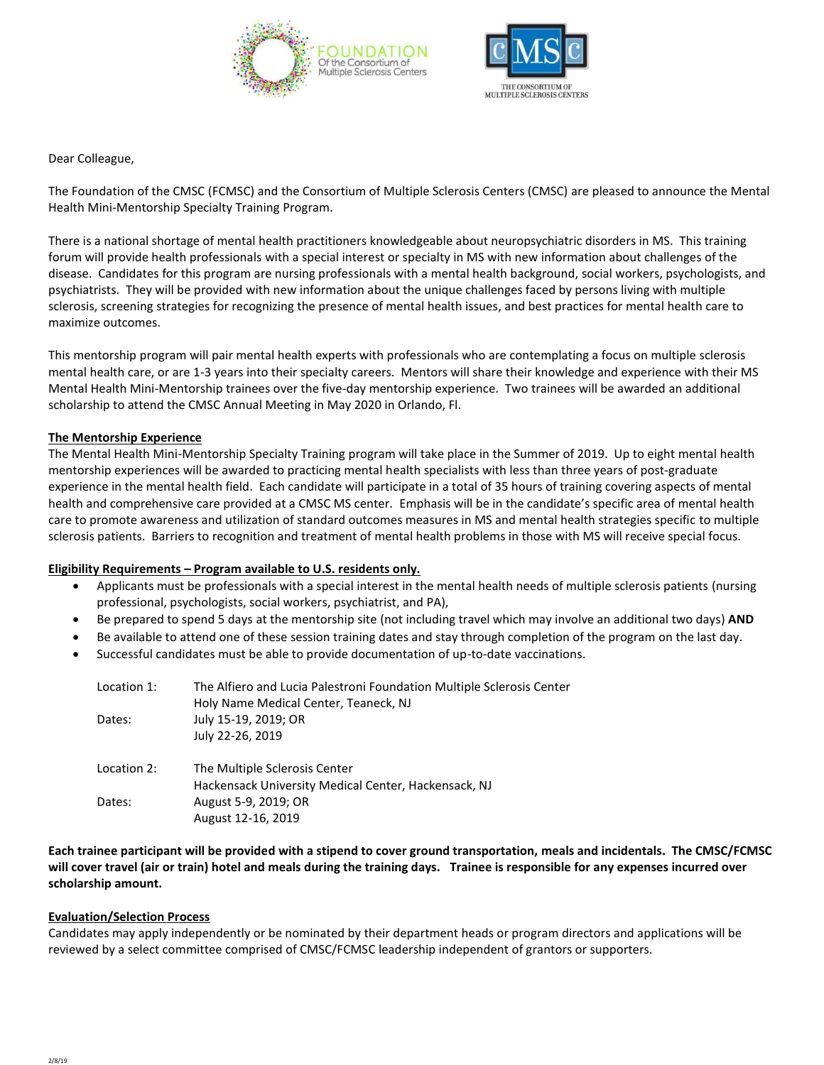



Dear Colleague,

The Foundation of the CMSC (FCMSC) and the Consortium of Multiple Sclerosis Centers (CMSC) are pleased to announce the Mental Health Mini-Mentorship Specialty Training Program.

There is a national shortage of mental health practitioners knowledgeable about neuropsychiatric disorders in MS. This training forum will provide health professionals with a special interest or specialty in MS with new information about challenges of the disease. Candidates for this program are nursing professionals with a mental health background, social workers, psychologists, and psychiatrists. They will be provided with new information about the unique challenges faced by persons living with multiple sclerosis, screening strategies for recognizing the presence of mental health issues, and best practices for mental health care to maximize outcomes.

This mentorship program will pair mental health experts with professionals who are contemplating a focus on multiple sclerosis mental health care, or are 1-3 years into their specialty careers. Mentors will share their knowledge and experience with their MS Mental Health Mini-Mentorship trainees over the five-day mentorship experience. Two trainees will be awarded an additional scholarship to attend the CMSC Annual Meeting in May 2020 in Orlando, Fl.

### **The Mentorship Experience**

The Mental Health Mini-Mentorship Specialty Training program will take place in the Summer of 2019. Up to eight mental health mentorship experiences will be awarded to practicing mental health specialists with less than three years of post-graduate experience in the mental health field. Each candidate will participate in a total of 35 hours of training covering aspects of mental health and comprehensive care provided at a CMSC MS center. Emphasis will be in the candidate's specific area of mental health care to promote awareness and utilization of standard outcomes measures in MS and mental health strategies specific to multiple sclerosis patients. Barriers to recognition and treatment of mental health problems in those with MS will receive special focus.

#### **Eligibility Requirements – Program available to U.S. residents only.**

- Applicants must be professionals with a special interest in the mental health needs of multiple sclerosis patients (nursing professional, psychologists, social workers, psychiatrist, and PA),
- Be prepared to spend 5 days at the mentorship site (not including travel which may involve an additional two days) **AND**
- Be available to attend one of these session training dates and stay through completion of the program on the last day.
- Successful candidates must be able to provide documentation of up-to-date vaccinations.

| Location 1: | The Alfiero and Lucia Palestroni Foundation Multiple Sclerosis Center<br>Holy Name Medical Center, Teaneck, NJ |
|-------------|----------------------------------------------------------------------------------------------------------------|
| Dates:      | July 15-19, 2019; OR                                                                                           |
|             | July 22-26, 2019                                                                                               |
| Location 2: | The Multiple Sclerosis Center                                                                                  |
|             | Hackensack University Medical Center, Hackensack, NJ                                                           |
| Dates:      | August 5-9, 2019; OR                                                                                           |
|             | August 12-16, 2019                                                                                             |

**Each trainee participant will be provided with a stipend to cover ground transportation, meals and incidentals. The CMSC/FCMSC will cover travel (air or train) hotel and meals during the training days. Trainee is responsible for any expenses incurred over scholarship amount.**

#### **Evaluation/Selection Process**

Candidates may apply independently or be nominated by their department heads or program directors and applications will be reviewed by a select committee comprised of CMSC/FCMSC leadership independent of grantors or supporters.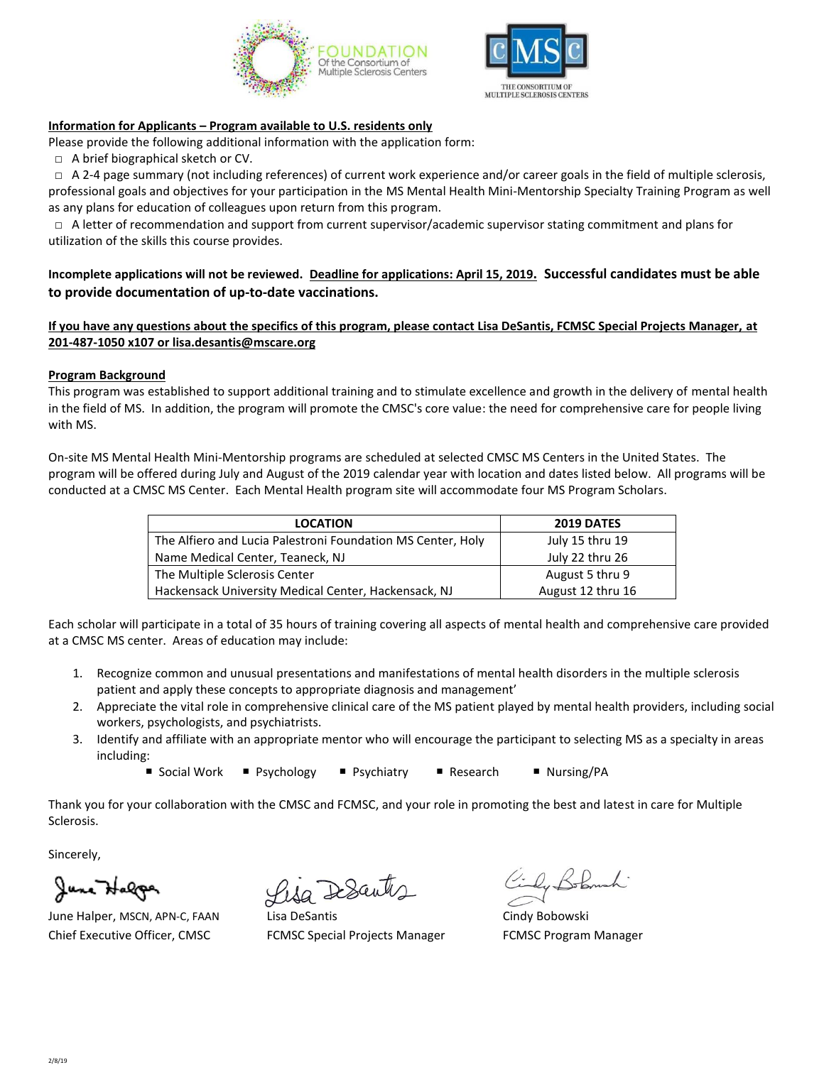



# **Information for Applicants – Program available to U.S. residents only**

Please provide the following additional information with the application form:

**□** A brief biographical sketch or CV.

 **□** A 2-4 page summary (not including references) of current work experience and/or career goals in the field of multiple sclerosis, professional goals and objectives for your participation in the MS Mental Health Mini-Mentorship Specialty Training Program as well as any plans for education of colleagues upon return from this program.

 **□** A letter of recommendation and support from current supervisor/academic supervisor stating commitment and plans for utilization of the skills this course provides.

**Incomplete applications will not be reviewed. Deadline for applications: April 15, 2019. Successful candidates must be able to provide documentation of up-to-date vaccinations.**

**If you have any questions about the specifics of this program, please contact Lisa DeSantis, FCMSC Special Projects Manager, at 201-487-1050 x107 or lisa.desantis@mscare.org**

## **Program Background**

This program was established to support additional training and to stimulate excellence and growth in the delivery of mental health in the field of MS. In addition, the program will promote the CMSC's core value: the need for comprehensive care for people living with MS.

On-site MS Mental Health Mini-Mentorship programs are scheduled at selected CMSC MS Centers in the United States. The program will be offered during July and August of the 2019 calendar year with location and dates listed below. All programs will be conducted at a CMSC MS Center. Each Mental Health program site will accommodate four MS Program Scholars.

| <b>LOCATION</b>                                             | <b>2019 DATES</b> |
|-------------------------------------------------------------|-------------------|
| The Alfiero and Lucia Palestroni Foundation MS Center, Holy | July 15 thru 19   |
| Name Medical Center, Teaneck, NJ                            | July 22 thru 26   |
| The Multiple Sclerosis Center                               | August 5 thru 9   |
| Hackensack University Medical Center, Hackensack, NJ        | August 12 thru 16 |

Each scholar will participate in a total of 35 hours of training covering all aspects of mental health and comprehensive care provided at a CMSC MS center. Areas of education may include:

- 1. Recognize common and unusual presentations and manifestations of mental health disorders in the multiple sclerosis patient and apply these concepts to appropriate diagnosis and management'
- 2. Appreciate the vital role in comprehensive clinical care of the MS patient played by mental health providers, including social workers, psychologists, and psychiatrists.
- 3. Identify and affiliate with an appropriate mentor who will encourage the participant to selecting MS as a specialty in areas including:

■ Social Work ■ Psychology ■ Psychiatry ■ Research ■ Nursing/PA

Thank you for your collaboration with the CMSC and FCMSC, and your role in promoting the best and latest in care for Multiple Sclerosis.

Sincerely,

Jane Halga

June Halper, MSCN, APN-C, FAAN Lisa DeSantis Changes Cindy Bobowski Chief Executive Officer, CMSC FCMSC Special Projects Manager FCMSC Program Manager

Lisa DeSantis